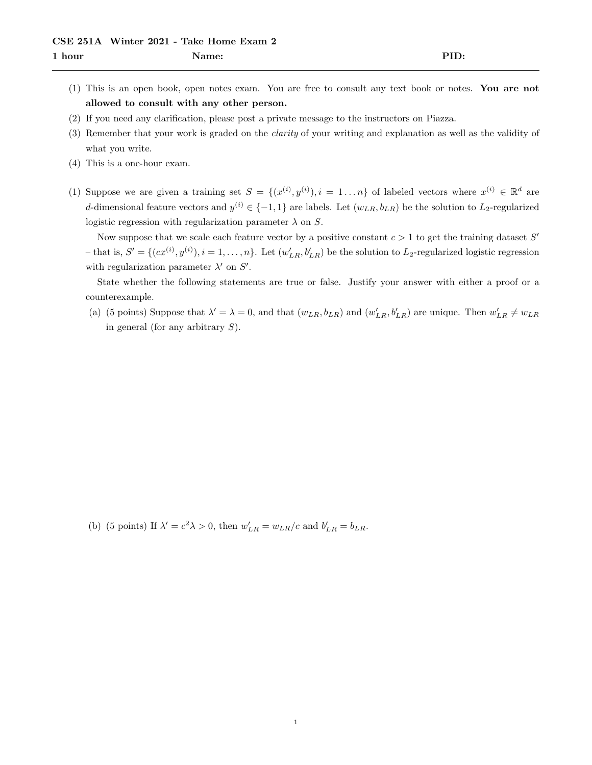- (1) This is an open book, open notes exam. You are free to consult any text book or notes. You are not allowed to consult with any other person.
- (2) If you need any clarification, please post a private message to the instructors on Piazza.
- (3) Remember that your work is graded on the clarity of your writing and explanation as well as the validity of what you write.
- (4) This is a one-hour exam.
- (1) Suppose we are given a training set  $S = \{(x^{(i)}, y^{(i)}), i = 1...n\}$  of labeled vectors where  $x^{(i)} \in \mathbb{R}^d$  are d-dimensional feature vectors and  $y^{(i)} \in \{-1,1\}$  are labels. Let  $(w_{LR}, b_{LR})$  be the solution to  $L_2$ -regularized logistic regression with regularization parameter  $\lambda$  on S.

Now suppose that we scale each feature vector by a positive constant  $c > 1$  to get the training dataset  $S'$ - that is,  $S' = \{(cx^{(i)}, y^{(i)}), i = 1, \ldots, n\}$ . Let  $(w'_{LR}, b'_{LR})$  be the solution to  $L_2$ -regularized logistic regression with regularization parameter  $\lambda'$  on  $S'$ .

State whether the following statements are true or false. Justify your answer with either a proof or a counterexample.

(a) (5 points) Suppose that  $\lambda' = \lambda = 0$ , and that  $(w_{LR}, b_{LR})$  and  $(w'_{LR}, b'_{LR})$  are unique. Then  $w'_{LR} \neq w_{LR}$ in general (for any arbitrary  $S$ ).

(b) (5 points) If  $\lambda' = c^2 \lambda > 0$ , then  $w'_{LR} = w_{LR}/c$  and  $b'_{LR} = b_{LR}$ .